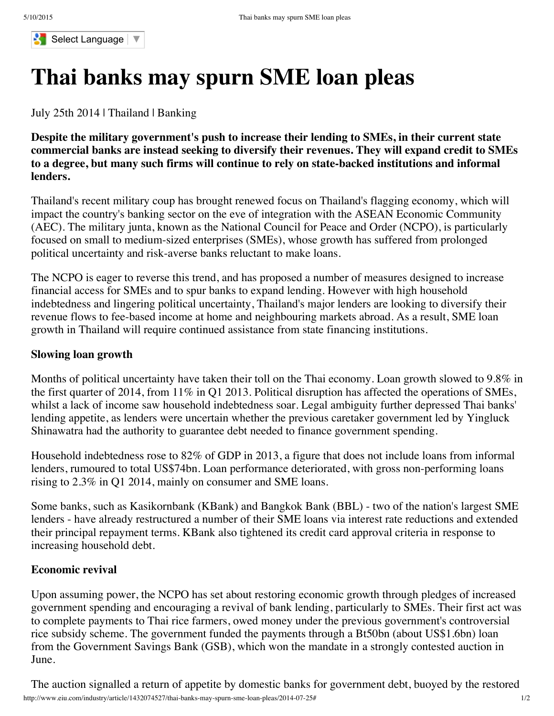

# **[Thai](javascript:void(0)) banks [may](javascript:void(0)) sp[urn](javascript:void(0)) SME [loan](javascript:void(0)) [pleas](javascript:void(0))**

July 25th [2014](javascript:void(0)) | Thailand | [Banking](javascript:void(0))

**[Despite](javascript:void(0)) the military [government's](javascript:void(0)) push to [increase](javascript:void(0)) their [lending](javascript:void(0)) to [SMEs,](javascript:void(0)) in their [current](javascript:void(0)) state [commercial](javascript:void(0)) banks are instead [seeking](javascript:void(0)) to [diversify](javascript:void(0)) their [revenues](javascript:void(0)). [They](javascript:void(0)) will e[xpand](javascript:void(0)) credit to SM[Es](javascript:void(0))** to a degree, but many such [firms](javascript:void(0)) will c[ontinue](javascript:void(0)) to rely on [state-ba](javascript:void(0))cked [institu](javascript:void(0))tions and [informal](javascript:void(0)) **[lenders.](javascript:void(0))**

[Thailand's](javascript:void(0)) recent m[ilitary](javascript:void(0)) coup has brought [renewed](javascript:void(0)) focus on [Thaila](javascript:void(0))nd's [flagging](javascript:void(0)) [economy,](javascript:void(0)) which wil[l](javascript:void(0)) impact the country's banking sector on the eve of integration with the ASEAN Economic Community (AEC). The military junta, known as the National Council for Peace and Order (NCPO), is particularly focused on small to medium-sized enterprises (SMEs), whose growth has suffered from prolonged political uncertainty and risk-averse banks reluctant to make loans.

The NCPO is eager to reverse this trend, and has proposed a number of measures designed to increase financial access for SMEs and to spur banks to expand lending. However with high household indebtedness and lingering political uncertainty, Thailand's major lenders are looking to diversify their revenue flows to fee-based income at home and neighbouring markets abroad. As a result, SME loan growth in Thailand will require continued assistance from state financing institutions.

## **Slowing loan growth**

Months of political uncertainty have taken their toll on the Thai economy. Loan growth slowed to 9.8% in the first quarter of 2014, from 11% in Q1 2013. Political disruption has affected the operations of SMEs, whilst a lack of income saw household indebtedness soar. Legal ambiguity further depressed Thai banks' lending appetite, as lenders were uncertain whether the previous caretaker government led by Yingluck Shinawatra had the authority to guarantee debt needed to finance government spending.

Household indebtedness rose to 82% of GDP in 2013, a figure that does not include loans from informal lenders, rumoured to total US\$74bn. Loan performance deteriorated, with gross non-performing loans rising to 2.3% in Q1 2014, mainly on consumer and SME loans.

Some banks, such as Kasikornbank (KBank) and Bangkok Bank (BBL) - two of the nation's largest SME lenders - have already restructured a number of their SME loans via interest rate reductions and extended their principal repayment terms. KBank also tightened its credit card approval criteria in response to increasing household debt.

### **Economic revival**

Upon assuming power, the NCPO has set about restoring economic growth through pledges of increased government spending and encouraging a revival of bank lending, particularly to SMEs. Their first act was to complete payments to Thai rice farmers, owed money under the previous government's controversial rice subsidy scheme. The government funded the payments through a Bt50bn (about US\$1.6bn) loan from the Government Savings Bank (GSB), which won the mandate in a strongly contested auction in June.

http://www.eiu.com/industry/article/1432074527/thai-banks-may-spurn-sme-loan-pleas/2014-07-25# 1/2 The auction signalled a return of appetite by domestic banks for government debt, buoyed by the restored